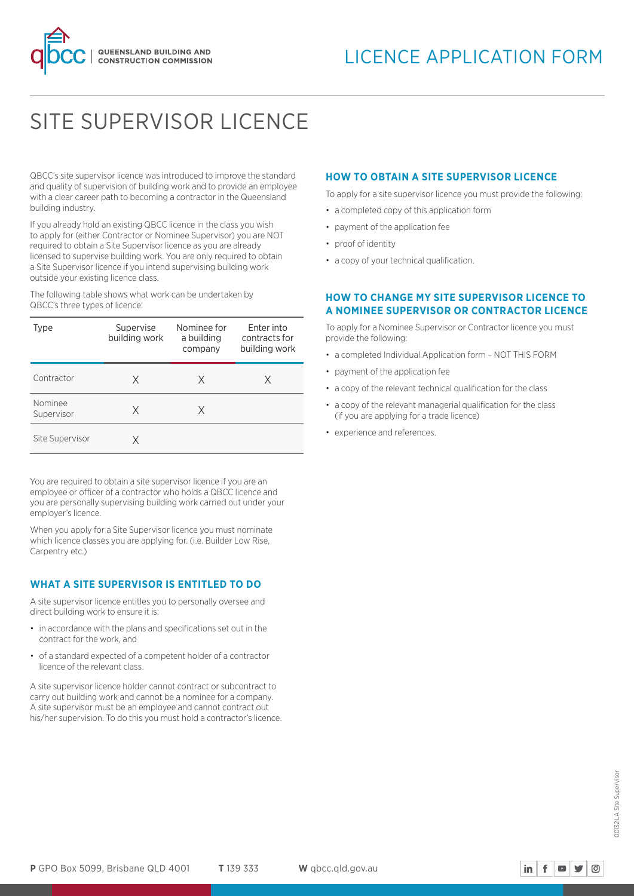

# SITE SUPERVISOR LICENCE

QBCC's site supervisor licence was introduced to improve the standard and quality of supervision of building work and to provide an employee with a clear career path to becoming a contractor in the Queensland building industry.

If you already hold an existing QBCC licence in the class you wish to apply for (either Contractor or Nominee Supervisor) you are NOT required to obtain a Site Supervisor licence as you are already licensed to supervise building work. You are only required to obtain a Site Supervisor licence if you intend supervising building work outside your existing licence class.

The following table shows what work can be undertaken by QBCC's three types of licence:

| Type                  | Supervise<br>building work | Nominee for<br>a building<br>company | Enter into<br>contracts for<br>building work |
|-----------------------|----------------------------|--------------------------------------|----------------------------------------------|
| Contractor            | Χ                          | X                                    | X                                            |
| Nominee<br>Supervisor | X                          | X                                    |                                              |
| Site Supervisor       | X                          |                                      |                                              |

You are required to obtain a site supervisor licence if you are an employee or officer of a contractor who holds a QBCC licence and you are personally supervising building work carried out under your employer's licence.

When you apply for a Site Supervisor licence you must nominate which licence classes you are applying for. (i.e. Builder Low Rise, Carpentry etc.)

# **WHAT A SITE SUPERVISOR IS ENTITLED TO DO**

A site supervisor licence entitles you to personally oversee and direct building work to ensure it is:

- in accordance with the plans and specifications set out in the contract for the work, and
- of a standard expected of a competent holder of a contractor licence of the relevant class.

A site supervisor licence holder cannot contract or subcontract to carry out building work and cannot be a nominee for a company. A site supervisor must be an employee and cannot contract out his/her supervision. To do this you must hold a contractor's licence.

# **HOW TO OBTAIN A SITE SUPERVISOR LICENCE**

To apply for a site supervisor licence you must provide the following:

- a completed copy of this application form
- payment of the application fee
- proof of identity
- a copy of your technical qualification.

# **HOW TO CHANGE MY SITE SUPERVISOR LICENCE TO A NOMINEE SUPERVISOR OR CONTRACTOR LICENCE**

To apply for a Nominee Supervisor or Contractor licence you must provide the following:

- a completed Individual Application form NOT THIS FORM
- payment of the application fee
- a copy of the relevant technical qualification for the class
- a copy of the relevant managerial qualification for the class (if you are applying for a trade licence)
- experience and references.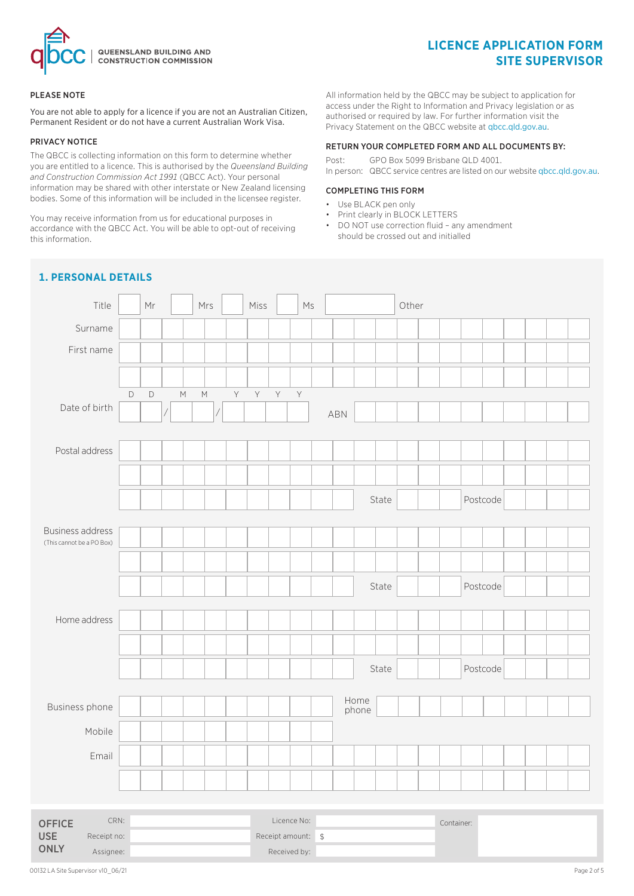

# **LICENCE APPLICATION FORM SITE SUPERVISOR**

### PLEASE NOTE

You are not able to apply for a licence if you are not an Australian Citizen, Permanent Resident or do not have a current Australian Work Visa.

### PRIVACY NOTICE

The QBCC is collecting information on this form to determine whether you are entitled to a licence. This is authorised by the *Queensland Building and Construction Commission Act 1991* (QBCC Act). Your personal information may be shared with other interstate or New Zealand licensing bodies. Some of this information will be included in the licensee register.

You may receive information from us for educational purposes in accordance with the QBCC Act. You will be able to opt-out of receiving this information.

All information held by the QBCC may be subject to application for access under the Right to Information and Privacy legislation or as authorised or required by law. For further information visit the Privacy Statement on the QBCC website at qbcc.qld.gov.au.

# RETURN YOUR COMPLETED FORM AND ALL DOCUMENTS BY:

Post: GPO Box 5099 Brisbane QLD 4001. In person: QBCC service centres are listed on our website qbcc.qld.gov.au.

### COMPLETING THIS FORM

- Use BLACK pen only
- Print clearly in BLOCK LETTERS
- DO NOT use correction fluid any amendment should be crossed out and initialled

# **1. PERSONAL DETAILS**

| Title                                                |             | Mr          |             | Mrs                                                                                                        |   | Miss         |             | $\mathsf{M}\mathsf{s}$ |     |       |       | Other |            |          |  |  |
|------------------------------------------------------|-------------|-------------|-------------|------------------------------------------------------------------------------------------------------------|---|--------------|-------------|------------------------|-----|-------|-------|-------|------------|----------|--|--|
| Surname                                              |             |             |             |                                                                                                            |   |              |             |                        |     |       |       |       |            |          |  |  |
| First name                                           |             |             |             |                                                                                                            |   |              |             |                        |     |       |       |       |            |          |  |  |
|                                                      |             |             |             |                                                                                                            |   |              |             |                        |     |       |       |       |            |          |  |  |
|                                                      | $\mathsf D$ | $\mathsf D$ | $\mathbb M$ | $\mathsf{M}% _{T}=\mathsf{M}_{T}\!\left( a,b\right) ,\ \mathsf{M}_{T}=\mathsf{M}_{T}\!\left( a,b\right) ,$ | Y | $\mathsf{Y}$ | $\mathsf Y$ | $\bar{\mathsf{Y}}$     |     |       |       |       |            |          |  |  |
| Date of birth                                        |             |             |             |                                                                                                            |   |              |             |                        | ABN |       |       |       |            |          |  |  |
|                                                      |             |             |             |                                                                                                            |   |              |             |                        |     |       |       |       |            |          |  |  |
| Postal address                                       |             |             |             |                                                                                                            |   |              |             |                        |     |       |       |       |            |          |  |  |
|                                                      |             |             |             |                                                                                                            |   |              |             |                        |     |       |       |       |            |          |  |  |
|                                                      |             |             |             |                                                                                                            |   |              |             |                        |     |       | State |       |            | Postcode |  |  |
|                                                      |             |             |             |                                                                                                            |   |              |             |                        |     |       |       |       |            |          |  |  |
| <b>Business address</b><br>(This cannot be a PO Box) |             |             |             |                                                                                                            |   |              |             |                        |     |       |       |       |            |          |  |  |
|                                                      |             |             |             |                                                                                                            |   |              |             |                        |     |       |       |       |            |          |  |  |
|                                                      |             |             |             |                                                                                                            |   |              |             |                        |     |       | State |       |            | Postcode |  |  |
|                                                      |             |             |             |                                                                                                            |   |              |             |                        |     |       |       |       |            |          |  |  |
| Home address                                         |             |             |             |                                                                                                            |   |              |             |                        |     |       |       |       |            |          |  |  |
|                                                      |             |             |             |                                                                                                            |   |              |             |                        |     |       |       |       |            |          |  |  |
|                                                      |             |             |             |                                                                                                            |   |              |             |                        |     |       | State |       |            | Postcode |  |  |
|                                                      |             |             |             |                                                                                                            |   |              |             |                        |     | Home  |       |       |            |          |  |  |
| Business phone                                       |             |             |             |                                                                                                            |   |              |             |                        |     | phone |       |       |            |          |  |  |
| Mobile                                               |             |             |             |                                                                                                            |   |              |             |                        |     |       |       |       |            |          |  |  |
| Email                                                |             |             |             |                                                                                                            |   |              |             |                        |     |       |       |       |            |          |  |  |
|                                                      |             |             |             |                                                                                                            |   |              |             |                        |     |       |       |       |            |          |  |  |
|                                                      |             |             |             |                                                                                                            |   |              |             |                        |     |       |       |       |            |          |  |  |
| CRN:<br><b>OFFICE</b>                                |             |             |             |                                                                                                            |   |              |             | Licence No:            |     |       |       |       | Container: |          |  |  |

Receipt no:  $\begin{array}{ccc} \text{Receipt amount:} & \text{\$} \end{array}$ Assignee: and a set of the set of the Received by:

USE **ONLY**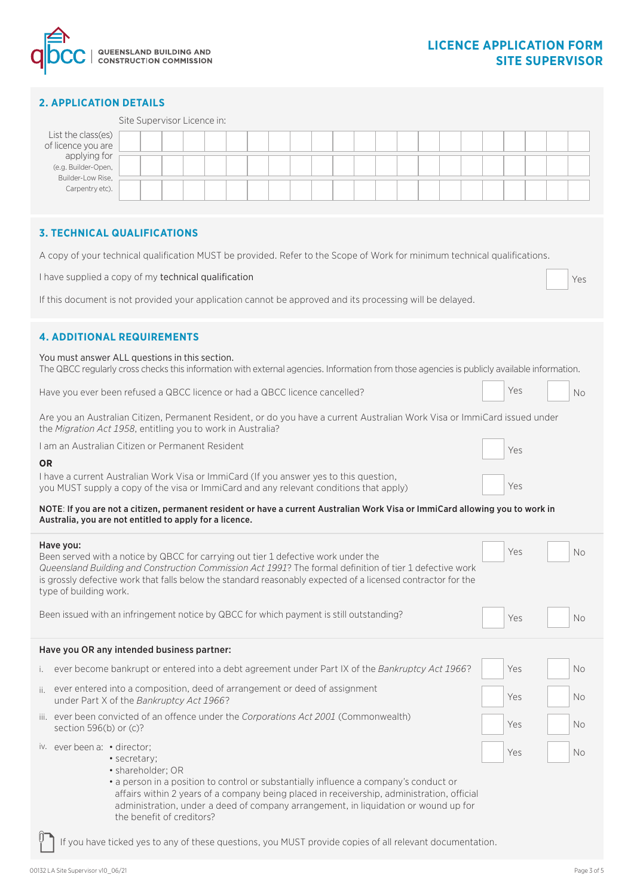

|                                                                                                                                                                                          | <b>2. APPLICATION DETAILS</b>                                                                                                                                                                                                                                                                                                                                                                                                            |              |                             |  |  |  |  |  |  |  |  |  |  |  |  |     |  |           |
|------------------------------------------------------------------------------------------------------------------------------------------------------------------------------------------|------------------------------------------------------------------------------------------------------------------------------------------------------------------------------------------------------------------------------------------------------------------------------------------------------------------------------------------------------------------------------------------------------------------------------------------|--------------|-----------------------------|--|--|--|--|--|--|--|--|--|--|--|--|-----|--|-----------|
|                                                                                                                                                                                          |                                                                                                                                                                                                                                                                                                                                                                                                                                          |              | Site Supervisor Licence in: |  |  |  |  |  |  |  |  |  |  |  |  |     |  |           |
|                                                                                                                                                                                          | List the class(es)                                                                                                                                                                                                                                                                                                                                                                                                                       |              |                             |  |  |  |  |  |  |  |  |  |  |  |  |     |  |           |
|                                                                                                                                                                                          | of licence you are<br>applying for                                                                                                                                                                                                                                                                                                                                                                                                       |              |                             |  |  |  |  |  |  |  |  |  |  |  |  |     |  |           |
|                                                                                                                                                                                          | (e.g. Builder-Open,                                                                                                                                                                                                                                                                                                                                                                                                                      |              |                             |  |  |  |  |  |  |  |  |  |  |  |  |     |  |           |
|                                                                                                                                                                                          | Builder-Low Rise,<br>Carpentry etc).                                                                                                                                                                                                                                                                                                                                                                                                     |              |                             |  |  |  |  |  |  |  |  |  |  |  |  |     |  |           |
|                                                                                                                                                                                          |                                                                                                                                                                                                                                                                                                                                                                                                                                          |              |                             |  |  |  |  |  |  |  |  |  |  |  |  |     |  |           |
|                                                                                                                                                                                          | <b>3. TECHNICAL QUALIFICATIONS</b>                                                                                                                                                                                                                                                                                                                                                                                                       |              |                             |  |  |  |  |  |  |  |  |  |  |  |  |     |  |           |
|                                                                                                                                                                                          | A copy of your technical qualification MUST be provided. Refer to the Scope of Work for minimum technical qualifications.                                                                                                                                                                                                                                                                                                                |              |                             |  |  |  |  |  |  |  |  |  |  |  |  |     |  |           |
|                                                                                                                                                                                          | I have supplied a copy of my technical qualification<br>Yes                                                                                                                                                                                                                                                                                                                                                                              |              |                             |  |  |  |  |  |  |  |  |  |  |  |  |     |  |           |
|                                                                                                                                                                                          | If this document is not provided your application cannot be approved and its processing will be delayed.                                                                                                                                                                                                                                                                                                                                 |              |                             |  |  |  |  |  |  |  |  |  |  |  |  |     |  |           |
|                                                                                                                                                                                          | <b>4. ADDITIONAL REQUIREMENTS</b>                                                                                                                                                                                                                                                                                                                                                                                                        |              |                             |  |  |  |  |  |  |  |  |  |  |  |  |     |  |           |
|                                                                                                                                                                                          | You must answer ALL questions in this section.<br>The QBCC regularly cross checks this information with external agencies. Information from those agencies is publicly available information.                                                                                                                                                                                                                                            |              |                             |  |  |  |  |  |  |  |  |  |  |  |  |     |  |           |
|                                                                                                                                                                                          | Yes<br>Have you ever been refused a QBCC licence or had a QBCC licence cancelled?<br><b>No</b>                                                                                                                                                                                                                                                                                                                                           |              |                             |  |  |  |  |  |  |  |  |  |  |  |  |     |  |           |
| Are you an Australian Citizen, Permanent Resident, or do you have a current Australian Work Visa or ImmiCard issued under<br>the Migration Act 1958, entitling you to work in Australia? |                                                                                                                                                                                                                                                                                                                                                                                                                                          |              |                             |  |  |  |  |  |  |  |  |  |  |  |  |     |  |           |
|                                                                                                                                                                                          | I am an Australian Citizen or Permanent Resident<br>Yes                                                                                                                                                                                                                                                                                                                                                                                  |              |                             |  |  |  |  |  |  |  |  |  |  |  |  |     |  |           |
| <b>OR</b>                                                                                                                                                                                |                                                                                                                                                                                                                                                                                                                                                                                                                                          |              |                             |  |  |  |  |  |  |  |  |  |  |  |  |     |  |           |
| I have a current Australian Work Visa or ImmiCard (If you answer yes to this question,<br>Yes<br>you MUST supply a copy of the visa or ImmiCard and any relevant conditions that apply)  |                                                                                                                                                                                                                                                                                                                                                                                                                                          |              |                             |  |  |  |  |  |  |  |  |  |  |  |  |     |  |           |
| NOTE: If you are not a citizen, permanent resident or have a current Australian Work Visa or ImmiCard allowing you to work in<br>Australia, you are not entitled to apply for a licence. |                                                                                                                                                                                                                                                                                                                                                                                                                                          |              |                             |  |  |  |  |  |  |  |  |  |  |  |  |     |  |           |
|                                                                                                                                                                                          | Have you:                                                                                                                                                                                                                                                                                                                                                                                                                                |              |                             |  |  |  |  |  |  |  |  |  |  |  |  |     |  |           |
|                                                                                                                                                                                          | Been served with a notice by QBCC for carrying out tier 1 defective work under the                                                                                                                                                                                                                                                                                                                                                       |              |                             |  |  |  |  |  |  |  |  |  |  |  |  | Yes |  | No        |
|                                                                                                                                                                                          | Queensland Building and Construction Commission Act 1991? The formal definition of tier 1 defective work<br>is grossly defective work that falls below the standard reasonably expected of a licensed contractor for the<br>type of building work.                                                                                                                                                                                       |              |                             |  |  |  |  |  |  |  |  |  |  |  |  |     |  |           |
|                                                                                                                                                                                          | Been issued with an infringement notice by QBCC for which payment is still outstanding?                                                                                                                                                                                                                                                                                                                                                  |              |                             |  |  |  |  |  |  |  |  |  |  |  |  | Yes |  | <b>No</b> |
|                                                                                                                                                                                          | Have you OR any intended business partner:                                                                                                                                                                                                                                                                                                                                                                                               |              |                             |  |  |  |  |  |  |  |  |  |  |  |  |     |  |           |
| i.                                                                                                                                                                                       | ever become bankrupt or entered into a debt agreement under Part IX of the Bankruptcy Act 1966?                                                                                                                                                                                                                                                                                                                                          |              |                             |  |  |  |  |  |  |  |  |  |  |  |  | Yes |  | No        |
| ii.                                                                                                                                                                                      | ever entered into a composition, deed of arrangement or deed of assignment<br>under Part X of the Bankruptcy Act 1966?                                                                                                                                                                                                                                                                                                                   |              |                             |  |  |  |  |  |  |  |  |  |  |  |  | Yes |  | No        |
|                                                                                                                                                                                          | iii. ever been convicted of an offence under the Corporations Act 2001 (Commonwealth)<br>section $596(b)$ or (c)?                                                                                                                                                                                                                                                                                                                        |              |                             |  |  |  |  |  |  |  |  |  |  |  |  | Yes |  | No        |
|                                                                                                                                                                                          | iv. ever been a: • director;                                                                                                                                                                                                                                                                                                                                                                                                             | • secretary; |                             |  |  |  |  |  |  |  |  |  |  |  |  | Yes |  | No        |
|                                                                                                                                                                                          | · shareholder; OR<br>• a person in a position to control or substantially influence a company's conduct or<br>affairs within 2 years of a company being placed in receivership, administration, official<br>administration, under a deed of company arrangement, in liquidation or wound up for<br>the benefit of creditors?<br>If you have ticked yes to any of these questions, you MUST provide copies of all relevant documentation. |              |                             |  |  |  |  |  |  |  |  |  |  |  |  |     |  |           |
|                                                                                                                                                                                          |                                                                                                                                                                                                                                                                                                                                                                                                                                          |              |                             |  |  |  |  |  |  |  |  |  |  |  |  |     |  |           |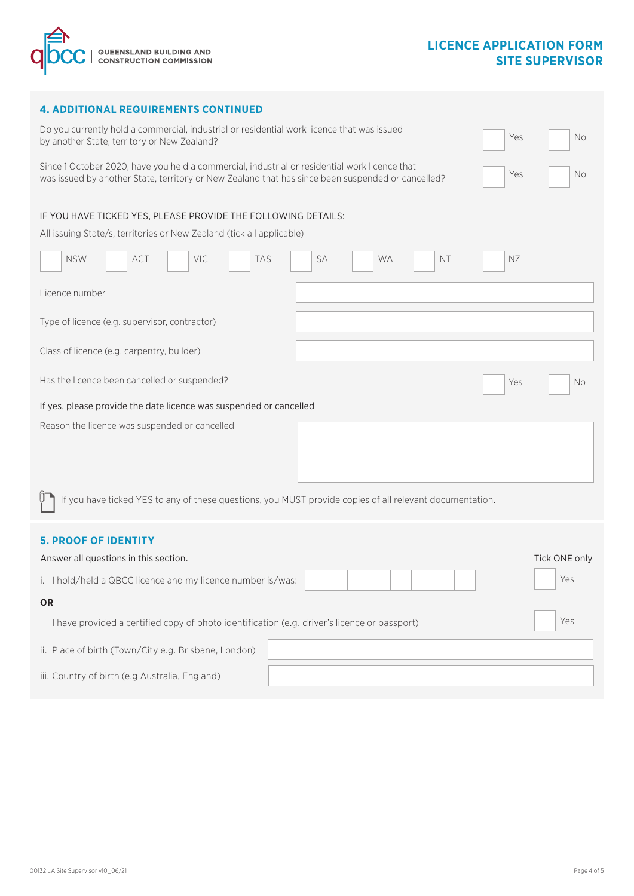

|  | <b>4. ADDITIONAL REQUIREMENTS CONTINUED</b> |  |
|--|---------------------------------------------|--|
|--|---------------------------------------------|--|

| Do you currently hold a commercial, industrial or residential work licence that was issued<br>Yes<br>No<br>by another State, territory or New Zealand?                                                          |
|-----------------------------------------------------------------------------------------------------------------------------------------------------------------------------------------------------------------|
| Since 1 October 2020, have you held a commercial, industrial or residential work licence that<br>Yes<br>No<br>was issued by another State, territory or New Zealand that has since been suspended or cancelled? |
| IF YOU HAVE TICKED YES, PLEASE PROVIDE THE FOLLOWING DETAILS:<br>All issuing State/s, territories or New Zealand (tick all applicable)                                                                          |
| <b>NSW</b><br>VIC<br>TAS<br>SA<br>ΝZ<br><b>ACT</b><br><b>WA</b><br><b>NT</b>                                                                                                                                    |
| Licence number                                                                                                                                                                                                  |
| Type of licence (e.g. supervisor, contractor)                                                                                                                                                                   |
| Class of licence (e.g. carpentry, builder)                                                                                                                                                                      |
| Has the licence been cancelled or suspended?<br>Yes<br>No                                                                                                                                                       |
| If yes, please provide the date licence was suspended or cancelled                                                                                                                                              |
| Reason the licence was suspended or cancelled                                                                                                                                                                   |
| If you have ticked YES to any of these questions, you MUST provide copies of all relevant documentation.                                                                                                        |
| <b>5. PROOF OF IDENTITY</b>                                                                                                                                                                                     |
| Answer all questions in this section.<br>Tick ONE only                                                                                                                                                          |
| Yes<br>i. I hold/held a QBCC licence and my licence number is/was:                                                                                                                                              |
| <b>OR</b>                                                                                                                                                                                                       |
| Yes<br>I have provided a certified copy of photo identification (e.g. driver's licence or passport)                                                                                                             |
| ii. Place of birth (Town/City e.g. Brisbane, London)                                                                                                                                                            |
| iii. Country of birth (e.g Australia, England)                                                                                                                                                                  |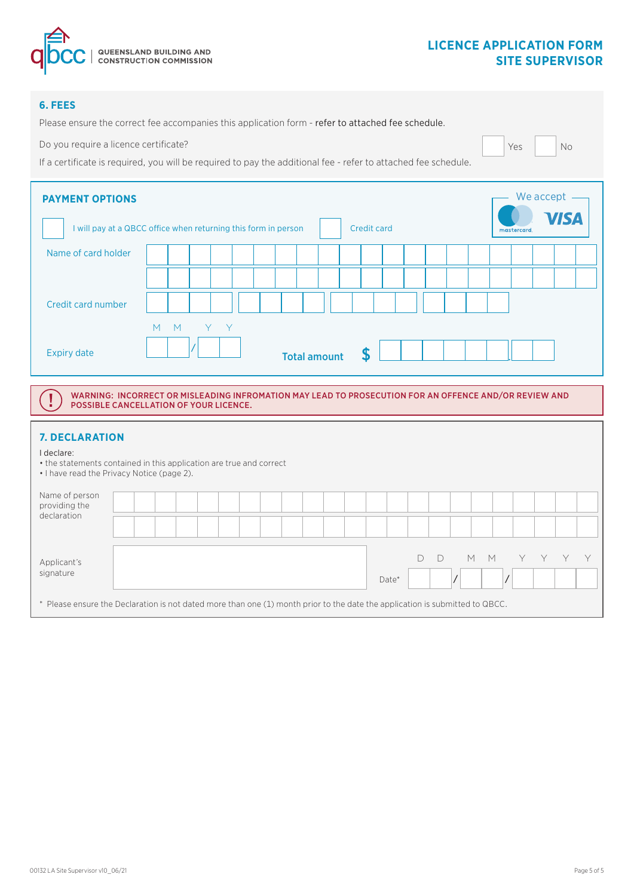

# **LICENCE APPLICATION FORM SITE SUPERVISOR**

# **6. FEES**

Please ensure the correct fee accompanies this application form - refer to attached fee schedule.

Do you require a licence certificate?

If a certificate is required, you will be required to pay the additional fee - refer to attached fee schedule.

| <b>PAYMENT OPTIONS</b> | We accept                                                      |                     |                    |                     |  |  |  |  |
|------------------------|----------------------------------------------------------------|---------------------|--------------------|---------------------|--|--|--|--|
|                        | I will pay at a QBCC office when returning this form in person |                     | <b>Credit card</b> | VISA<br>mastercard. |  |  |  |  |
| Name of card holder    |                                                                |                     |                    |                     |  |  |  |  |
|                        |                                                                |                     |                    |                     |  |  |  |  |
| Credit card number     |                                                                |                     |                    |                     |  |  |  |  |
|                        | Y Y<br>M<br>M                                                  |                     |                    |                     |  |  |  |  |
| <b>Expiry date</b>     |                                                                | <b>Total amount</b> |                    |                     |  |  |  |  |

WARNING: INCORRECT OR MISLEADING INFROMATION MAY LEAD TO PROSECUTION FOR AN OFFENCE AND/OR REVIEW AND POSSIBLE CANCELLATION OF YOUR LICENCE.

# **7. DECLARATION**

I declare:

 $\mathbf I$ 

• the statements contained in this application are true and correct

• I have read the Privacy Notice (page 2).

| Name of person<br>providing the<br>declaration                                                                               |  |  |  |  |  |  |  |  |  |  |       |  |     |     |  |  |
|------------------------------------------------------------------------------------------------------------------------------|--|--|--|--|--|--|--|--|--|--|-------|--|-----|-----|--|--|
|                                                                                                                              |  |  |  |  |  |  |  |  |  |  |       |  |     |     |  |  |
| Applicant's<br>signature                                                                                                     |  |  |  |  |  |  |  |  |  |  | Date* |  | M M | Y - |  |  |
| * Please ensure the Declaration is not dated more than one (1) month prior to the date the application is submitted to QBCC. |  |  |  |  |  |  |  |  |  |  |       |  |     |     |  |  |